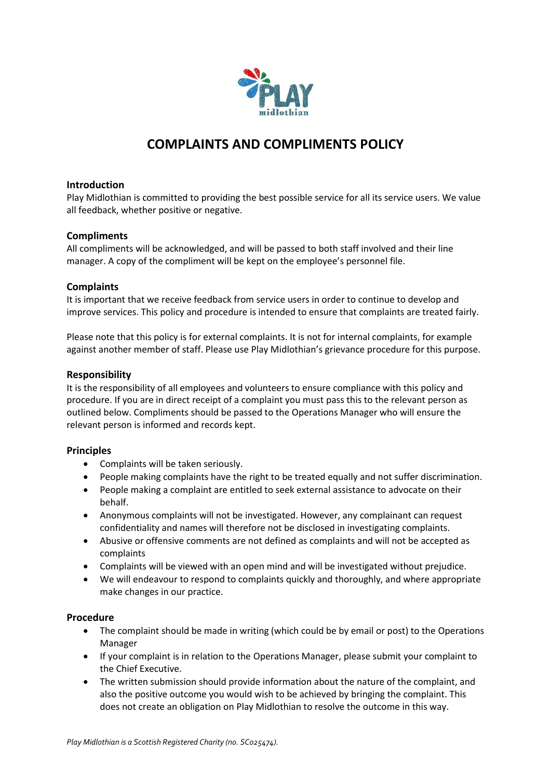

# **COMPLAINTS AND COMPLIMENTS POLICY**

## **Introduction**

Play Midlothian is committed to providing the best possible service for all its service users. We value all feedback, whether positive or negative.

## **Compliments**

All compliments will be acknowledged, and will be passed to both staff involved and their line manager. A copy of the compliment will be kept on the employee's personnel file.

## **Complaints**

It is important that we receive feedback from service users in order to continue to develop and improve services. This policy and procedure is intended to ensure that complaints are treated fairly.

Please note that this policy is for external complaints. It is not for internal complaints, for example against another member of staff. Please use Play Midlothian's grievance procedure for this purpose.

#### **Responsibility**

It is the responsibility of all employees and volunteers to ensure compliance with this policy and procedure. If you are in direct receipt of a complaint you must pass this to the relevant person as outlined below. Compliments should be passed to the Operations Manager who will ensure the relevant person is informed and records kept.

#### **Principles**

- Complaints will be taken seriously.
- People making complaints have the right to be treated equally and not suffer discrimination.
- People making a complaint are entitled to seek external assistance to advocate on their behalf.
- Anonymous complaints will not be investigated. However, any complainant can request confidentiality and names will therefore not be disclosed in investigating complaints.
- Abusive or offensive comments are not defined as complaints and will not be accepted as complaints
- Complaints will be viewed with an open mind and will be investigated without prejudice.
- We will endeavour to respond to complaints quickly and thoroughly, and where appropriate make changes in our practice.

#### **Procedure**

- The complaint should be made in writing (which could be by email or post) to the Operations Manager
- If your complaint is in relation to the Operations Manager, please submit your complaint to the Chief Executive.
- The written submission should provide information about the nature of the complaint, and also the positive outcome you would wish to be achieved by bringing the complaint. This does not create an obligation on Play Midlothian to resolve the outcome in this way.